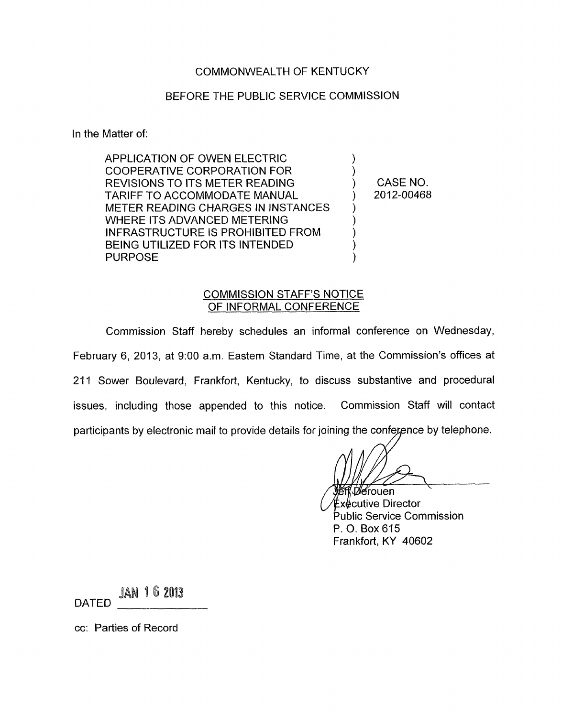### COMMONWEALTH OF KENTUCKY

#### BEFORE THE PUBLIC SERVICE COMMISSION

In the Matter of:

APPLICATION OF OWEN ELECTRIC ) COOPERATIVE CORPORATION FOR ) REVISIONS TO ITS METER READING ) CASENO. METER READING CHARGES IN INSTANCES TARIFF TO ACCOMMODATE MANUAL (2012-00468) ) WHERE ITS ADVANCED METERING INFRASTRUCTURE IS PROHIBITED FROM ) BEING UTILIZED FOR ITS INTENDED PURPOSE (2002)

#### COMMISSION STAFF'S NOTICE OF INFORMAL CONFERENCE

Commission Staff hereby schedules an informal conference on Wednesday, February 6, 2013, at 9:00 a.m. Eastern Standard Time, at the Commission's offices at 211 Sower Boulevard, Frankfort, Kentucky, to discuss substantive and procedural issues, including those appended to this notice. Commission Staff will contact participants by electronic mail to provide details for joining the conference by telephone.

*Dé*rouen

ี่ **£**x∉cutive Director Public Service Commission P. 0. Box 615 Frankfort, KY 40602

JAN 162013 DATED

cc: Parties of Record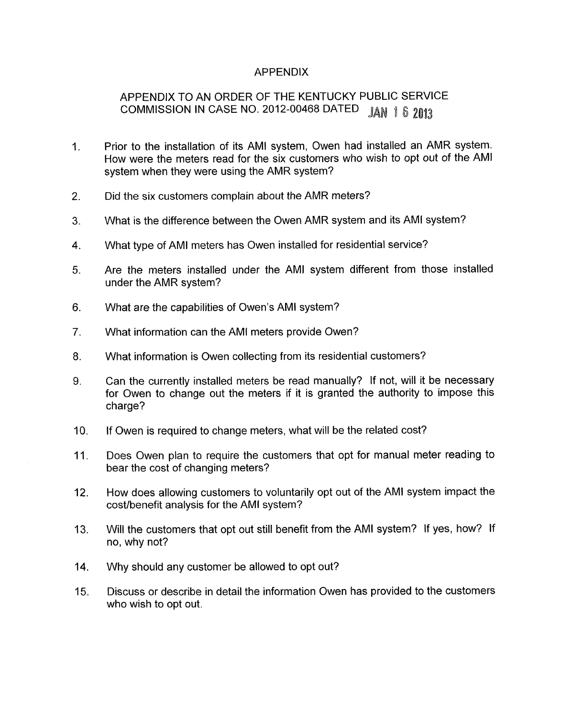## APPENDIX

# APPENDIX TO AN ORDER OF THE KENTUCKY PUBLIC SERVICE COMMISSION IN CASE NO. 2012-00468 DATED JAN 1 6 2013

- 1 Prior to the installation of its AMI system, Owen had installed an AMR system. How were the meters read for the six customers who wish to opt out of the AMI system when they were using the AMR system?
- 2. Did the six customers complain about the AMR meters?
- $3<sup>7</sup>$ What is the difference between the Owen AMR system and its AMI system?
- 4. What type of AMI meters has Owen installed for residential service?
- 5. Are the meters installed under the AMI system different from those installed under the AMR system?
- 6. What are the capabilities of Owen's AMI system?
- 7. What information can the AMI meters provide Owen?
- 8. What information is Owen collecting from its residential customers?
- 9. Can the currently installed meters be read manually? If not, will it be necessary for Owen to change out the meters if it is granted the authority to impose this charge?
- $10<sub>l</sub>$ If Owen is required to change meters, what will be the related cost?
- 11. Does Owen plan to require the customers that opt for manual meter reading to bear the cost of changing meters?
- 12. How does allowing customers to voluntarily opt out of the AMI system impact the cost/benefit analysis for the AMI system?
- 13. Will the customers that opt out still benefit from the AMI system? If yes, how? If no, why not?
- 14. Why should any customer be allowed to opt out?
- 15. Discuss or describe in detail the information Owen has provided to the customers who wish to opt out.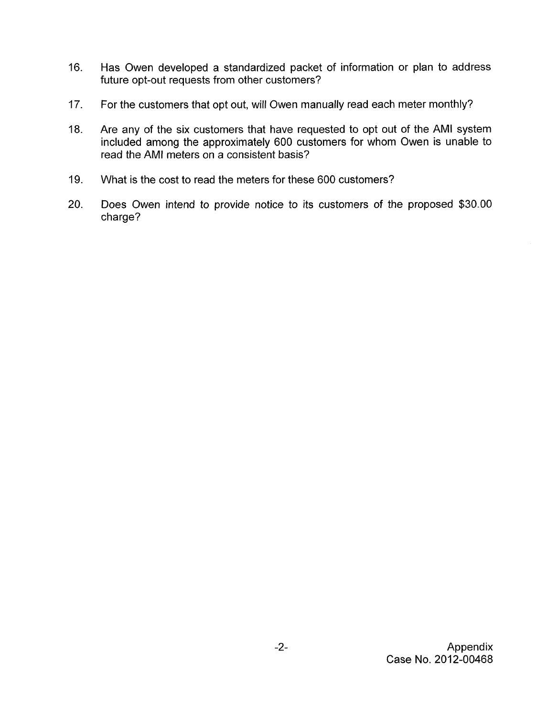- 16. Has Owen developed a standardized packet of information or plan to address future opt-out requests from other customers?
- 17. For the customers that opt out, will Owen manually read each meter monthly?
- 18. Are any of the six customers that have requested to opt out of the AMI system included among the approximately 600 customers for whom Owen is unable to read the AMI meters on a consistent basis?
- 19. What is the cost to read the meters for these 600 customers?
- 20. Does Owen intend to provide notice to its customers of the proposed \$30.00 charge?